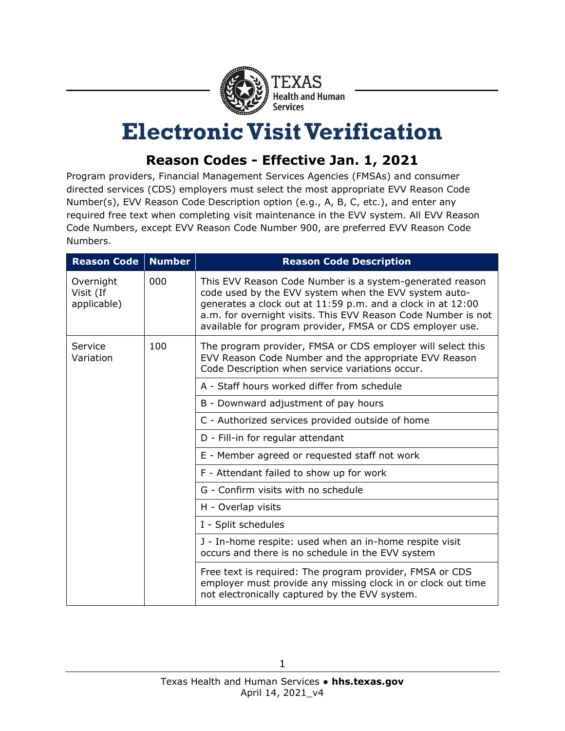

## **Electronic Visit Verification**

## **Reason Codes - Effective Jan. 1, 2021**

Program providers, Financial Management Services Agencies (FMSAs) and consumer directed services (CDS) employers must select the most appropriate EVV Reason Code Number(s), EVV Reason Code Description option (e.g., A, B, C, etc.), and enter any required free text when completing visit maintenance in the EVV system. All EVV Reason Code Numbers, except EVV Reason Code Number 900, are preferred EVV Reason Code Numbers.

| <b>Reason Code</b>                    | <b>Number</b> | <b>Reason Code Description</b>                                                                                                                                                                                                                                                                                 |
|---------------------------------------|---------------|----------------------------------------------------------------------------------------------------------------------------------------------------------------------------------------------------------------------------------------------------------------------------------------------------------------|
| Overnight<br>Visit (If<br>applicable) | 000           | This EVV Reason Code Number is a system-generated reason<br>code used by the EVV system when the EVV system auto-<br>generates a clock out at 11:59 p.m. and a clock in at 12:00<br>a.m. for overnight visits. This EVV Reason Code Number is not<br>available for program provider, FMSA or CDS employer use. |
| Service<br>Variation                  | 100           | The program provider, FMSA or CDS employer will select this<br>EVV Reason Code Number and the appropriate EVV Reason<br>Code Description when service variations occur.                                                                                                                                        |
|                                       |               | A - Staff hours worked differ from schedule                                                                                                                                                                                                                                                                    |
|                                       |               | B - Downward adjustment of pay hours                                                                                                                                                                                                                                                                           |
|                                       |               | C - Authorized services provided outside of home                                                                                                                                                                                                                                                               |
|                                       |               | D - Fill-in for regular attendant                                                                                                                                                                                                                                                                              |
|                                       |               | E - Member agreed or requested staff not work                                                                                                                                                                                                                                                                  |
|                                       |               | F - Attendant failed to show up for work                                                                                                                                                                                                                                                                       |
|                                       |               | G - Confirm visits with no schedule                                                                                                                                                                                                                                                                            |
|                                       |               | H - Overlap visits                                                                                                                                                                                                                                                                                             |
|                                       |               | I - Split schedules                                                                                                                                                                                                                                                                                            |
|                                       |               | J - In-home respite: used when an in-home respite visit<br>occurs and there is no schedule in the EVV system                                                                                                                                                                                                   |
|                                       |               | Free text is required: The program provider, FMSA or CDS<br>employer must provide any missing clock in or clock out time<br>not electronically captured by the EVV system.                                                                                                                                     |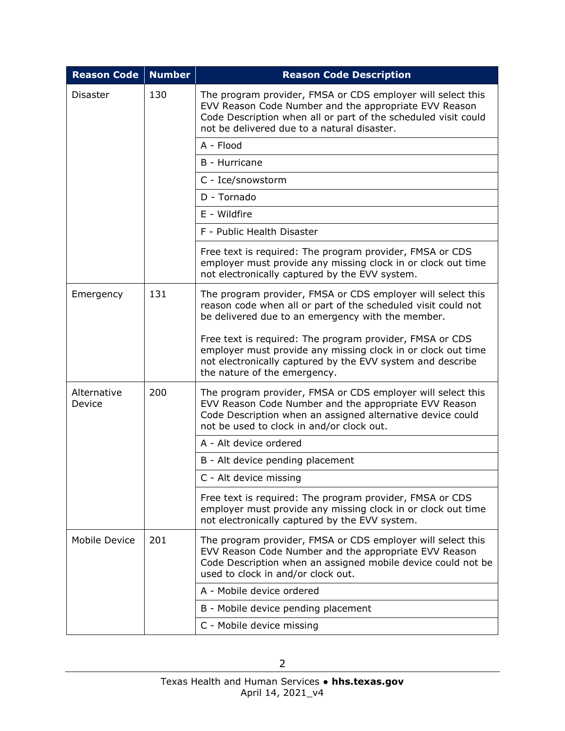| <b>Reason Code</b>    | <b>Number</b> | <b>Reason Code Description</b>                                                                                                                                                                                                        |
|-----------------------|---------------|---------------------------------------------------------------------------------------------------------------------------------------------------------------------------------------------------------------------------------------|
| <b>Disaster</b>       | 130           | The program provider, FMSA or CDS employer will select this<br>EVV Reason Code Number and the appropriate EVV Reason<br>Code Description when all or part of the scheduled visit could<br>not be delivered due to a natural disaster. |
|                       |               | A - Flood                                                                                                                                                                                                                             |
|                       |               | B - Hurricane                                                                                                                                                                                                                         |
|                       |               | C - Ice/snowstorm                                                                                                                                                                                                                     |
|                       |               | D - Tornado                                                                                                                                                                                                                           |
|                       |               | E - Wildfire                                                                                                                                                                                                                          |
|                       |               | F - Public Health Disaster                                                                                                                                                                                                            |
|                       |               | Free text is required: The program provider, FMSA or CDS<br>employer must provide any missing clock in or clock out time<br>not electronically captured by the EVV system.                                                            |
| Emergency             | 131           | The program provider, FMSA or CDS employer will select this<br>reason code when all or part of the scheduled visit could not<br>be delivered due to an emergency with the member.                                                     |
|                       |               | Free text is required: The program provider, FMSA or CDS<br>employer must provide any missing clock in or clock out time<br>not electronically captured by the EVV system and describe<br>the nature of the emergency.                |
| Alternative<br>Device | 200           | The program provider, FMSA or CDS employer will select this<br>EVV Reason Code Number and the appropriate EVV Reason<br>Code Description when an assigned alternative device could<br>not be used to clock in and/or clock out.       |
|                       |               | A - Alt device ordered                                                                                                                                                                                                                |
|                       |               | B - Alt device pending placement                                                                                                                                                                                                      |
|                       |               | C - Alt device missing                                                                                                                                                                                                                |
|                       |               | Free text is required: The program provider, FMSA or CDS<br>employer must provide any missing clock in or clock out time<br>not electronically captured by the EVV system.                                                            |
| Mobile Device         | 201           | The program provider, FMSA or CDS employer will select this<br>EVV Reason Code Number and the appropriate EVV Reason<br>Code Description when an assigned mobile device could not be<br>used to clock in and/or clock out.            |
|                       |               | A - Mobile device ordered                                                                                                                                                                                                             |
|                       |               | B - Mobile device pending placement                                                                                                                                                                                                   |
|                       |               | C - Mobile device missing                                                                                                                                                                                                             |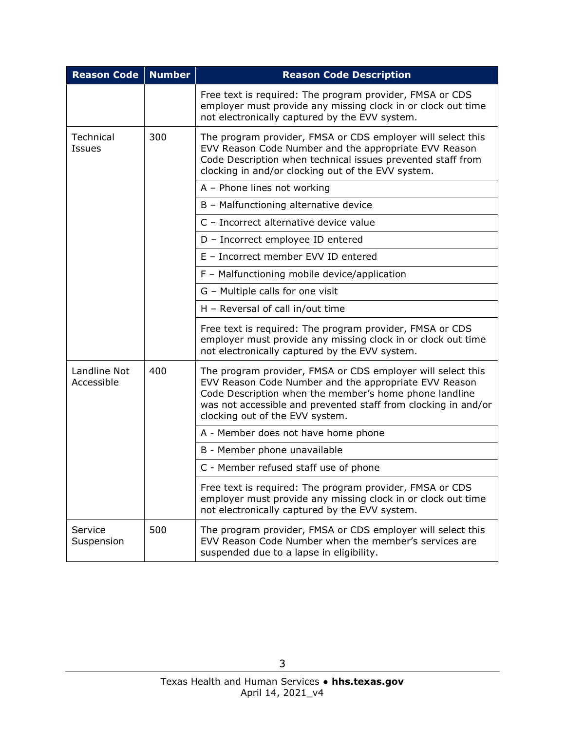| <b>Reason Code</b>         | <b>Number</b> | <b>Reason Code Description</b>                                                                                                                                                                                                                                                      |
|----------------------------|---------------|-------------------------------------------------------------------------------------------------------------------------------------------------------------------------------------------------------------------------------------------------------------------------------------|
|                            |               | Free text is required: The program provider, FMSA or CDS<br>employer must provide any missing clock in or clock out time<br>not electronically captured by the EVV system.                                                                                                          |
| Technical<br>Issues        | 300           | The program provider, FMSA or CDS employer will select this<br>EVV Reason Code Number and the appropriate EVV Reason<br>Code Description when technical issues prevented staff from<br>clocking in and/or clocking out of the EVV system.                                           |
|                            |               | A - Phone lines not working                                                                                                                                                                                                                                                         |
|                            |               | B - Malfunctioning alternative device                                                                                                                                                                                                                                               |
|                            |               | C - Incorrect alternative device value                                                                                                                                                                                                                                              |
|                            |               | D - Incorrect employee ID entered                                                                                                                                                                                                                                                   |
|                            |               | E - Incorrect member EVV ID entered                                                                                                                                                                                                                                                 |
|                            |               | F - Malfunctioning mobile device/application                                                                                                                                                                                                                                        |
|                            |               | G - Multiple calls for one visit                                                                                                                                                                                                                                                    |
|                            |               | H - Reversal of call in/out time                                                                                                                                                                                                                                                    |
|                            |               | Free text is required: The program provider, FMSA or CDS<br>employer must provide any missing clock in or clock out time<br>not electronically captured by the EVV system.                                                                                                          |
| Landline Not<br>Accessible | 400           | The program provider, FMSA or CDS employer will select this<br>EVV Reason Code Number and the appropriate EVV Reason<br>Code Description when the member's home phone landline<br>was not accessible and prevented staff from clocking in and/or<br>clocking out of the EVV system. |
|                            |               | A - Member does not have home phone                                                                                                                                                                                                                                                 |
|                            |               | B - Member phone unavailable                                                                                                                                                                                                                                                        |
|                            |               | C - Member refused staff use of phone                                                                                                                                                                                                                                               |
|                            |               | Free text is required: The program provider, FMSA or CDS<br>employer must provide any missing clock in or clock out time<br>not electronically captured by the EVV system.                                                                                                          |
| Service<br>Suspension      | 500           | The program provider, FMSA or CDS employer will select this<br>EVV Reason Code Number when the member's services are<br>suspended due to a lapse in eligibility.                                                                                                                    |